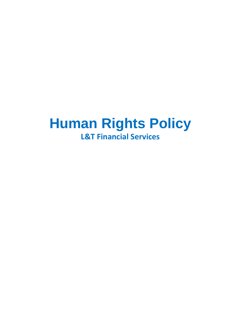# **Human Rights Policy L&T Financial Services**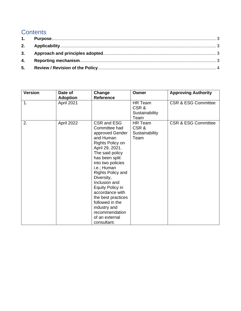# **Contents**

| <b>Version</b> | Date of<br><b>Adoption</b> | Change<br><b>Reference</b>                                                                                                                                                                                                                                                                                                                                                          | Owner                                     | <b>Approving Authority</b>     |
|----------------|----------------------------|-------------------------------------------------------------------------------------------------------------------------------------------------------------------------------------------------------------------------------------------------------------------------------------------------------------------------------------------------------------------------------------|-------------------------------------------|--------------------------------|
| 1.             | April 2021                 |                                                                                                                                                                                                                                                                                                                                                                                     | HR Team<br>CSR&<br>Sustainability<br>Team | <b>CSR &amp; ESG Committee</b> |
| 2.             | April 2022                 | CSR and ESG<br>Committee had<br>approved Gender<br>and Human<br>Rights Policy on<br>April 29, 2021.<br>The said policy<br>has been split<br>into two policies<br>i.e.; Human<br>Rights Policy and<br>Diversity,<br>Inclusion and<br>Equity Policy in<br>accordance with<br>the best practices<br>followed in the<br>industry and<br>recommendation<br>of an external<br>consultant. | HR Team<br>CSR&<br>Sustainability<br>Team | <b>CSR &amp; ESG Committee</b> |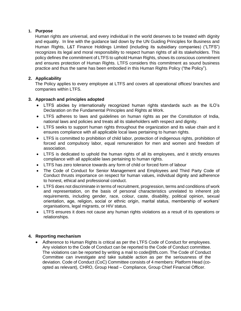## <span id="page-2-0"></span>**1. Purpose**

Human rights are universal, and every individual in the world deserves to be treated with dignity and equality. In line with the guidance laid down by the UN Guiding Principles for Business and Human Rights, L&T Finance Holdings Limited (including its subsidiary companies) ("LTFS") recognizes its legal and moral responsibility to respect human rights of all its stakeholders. This policy defines the commitment of LTFS to uphold Human Rights, shows its conscious commitment and ensures protection of Human Rights. LTFS considers this commitment as sound business practice and thus the same has been embodied in this Human Rights Policy ("the Policy").

# <span id="page-2-1"></span>**2. Applicability**

The Policy applies to every employee at LTFS and covers all operational offices/ branches and companies within LTFS.

### <span id="page-2-2"></span>**3. Approach and principles adopted**

- LTFS abides by internationally recognized human rights standards such as the ILO's Declaration on the Fundamental Principles and Rights at Work.
- LTFS adheres to laws and guidelines on human rights as per the Constitution of India, national laws and policies and treats all its stakeholders with respect and dignity.
- LTFS seeks to support human rights throughout the organization and its value chain and it ensures compliance with all applicable local laws pertaining to human rights.
- LTFS is committed to prohibition of child labor, protection of indigenous rights, prohibition of forced and compulsory labor, equal remuneration for men and women and freedom of association.
- LTFS is dedicated to uphold the human rights of all its employees, and it strictly ensures compliance with all applicable laws pertaining to human rights.
- LTFS has zero tolerance towards any form of child or forced form of labour
- The Code of Conduct for Senior Management and Employees and Third Party Code of Conduct thrusts importance on respect for human values, individual dignity and adherence to honest, ethical and professional conduct.
- LTFS does not discriminate in terms of recruitment, progression, terms and conditions of work and representation, on the basis of personal characteristics unrelated to inherent job requirements, including gender, race, colour, caste, disability, political opinion, sexual orientation, age, religion, social or ethnic origin, marital status, membership of workers' organisations, legal migrants, or HIV status.
- LTFS ensures it does not cause any human rights violations as a result of its operations or relationships.

### <span id="page-2-3"></span>**4. Reporting mechanism**

• Adherence to Human Rights is critical as per the LTFS Code of Conduct for employees. Any violation to the Code of Conduct can be reported to the Code of Conduct committee. The violations can be reported by writing a mail to [code@ltfs.com.](mailto:code@ltfs.com) The Code of Conduct Committee can investigate and take suitable action as per the seriousness of the deviation. Code of Conduct (CoC) Committee consists of 4 members: Platform Head (coopted as relevant), CHRO, Group Head – Compliance, Group Chief Financial Officer.